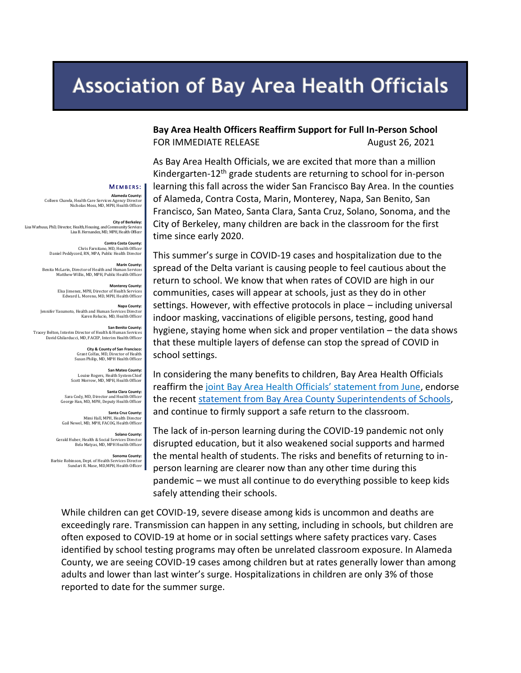# **Association of Bay Area Health Officials**

**Bay Area Health Officers Reaffirm Support for Full In-Person School**  FOR IMMEDIATE RELEASE August 26, 2021

As Bay Area Health Officials, we are excited that more than a million Kindergarten-12<sup>th</sup> grade students are returning to school for in-person learning this fall across the wider San Francisco Bay Area. In the counties of Alameda, Contra Costa, Marin, Monterey, Napa, San Benito, San Francisco, San Mateo, Santa Clara, Santa Cruz, Solano, Sonoma, and the City of Berkeley, many children are back in the classroom for the first time since early 2020.

This summer's surge in COVID-19 cases and hospitalization due to the spread of the Delta variant is causing people to feel cautious about the return to school. We know that when rates of COVID are high in our communities, cases will appear at schools, just as they do in other settings. However, with effective protocols in place – including universal indoor masking, vaccinations of eligible persons, testing, good hand hygiene, staying home when sick and proper ventilation – the data shows that these multiple layers of defense can stop the spread of COVID in school settings.

In considering the many benefits to children, Bay Area Health Officials [reaffirm the joint Bay Area Health Official](https://covid-19.acgov.org/covid19-assets/docs/press/joint-statement-2021.06.03.pdf)s' statement from June, endorse the recent [statement from Bay Area County Superintendents of Schools,](https://www.sccoe.org/news/NR/Pages/bay-area-county-superintendents-announce-their-support-of-full-in-person-learning.aspx) and continue to firmly support a safe return to the classroom.

The lack of in-person learning during the COVID-19 pandemic not only disrupted education, but it also weakened social supports and harmed the mental health of students. The risks and benefits of returning to inperson learning are clearer now than any other time during this pandemic – we must all continue to do everything possible to keep kids safely attending their schools.

While children can get COVID-19, severe disease among kids is uncommon and deaths are exceedingly rare. Transmission can happen in any setting, including in schools, but children are often exposed to COVID-19 at home or in social settings where safety practices vary. Cases identified by school testing programs may often be unrelated classroom exposure. In Alameda County, we are seeing COVID-19 cases among children but at rates generally lower than among adults and lower than last winter's surge. Hospitalizations in children are only 3% of those reported to date for the summer surge.

#### MEMBERS:

**Alameda County:**  Colleen Chawla, Health Care Services Agency Director Nicholas Moss, MD, MPH, Health Officer

**City of Berkeley:** Lisa Warhuus, PhD, Director, Health, Housing, and Community Services Lisa B. Hernandez, MD, MPH, Health Officer

> **Contra Costa County:**  Chris Farnitano, MD, Health Officer Daniel Peddycord, RN, MPA, Public Health Director

**Marin County:** Benita McLarin, Director of Health and Human Services Matthew Willis, MD, MPH, Public Health Officer

> **Monterey County<br>Else limenez MPH Director of Health Services** Elsa Jimenez, MPH, Director of Health Services Edward L. Moreno, MD, MPH, Health Officer

**Napa County:**  Jennifer Yasumoto, Health and Human Services Director Karen Relucio, MD, Health Officer

**San Benito County:**  Tracey Belton, Interim Director of Health & Human Services David Ghilarducci, MD, FACEP, Interim Health Officer

**City & County of San Francisco:**  Grant Colfax, MD, Director of Health Susan Philip, MD, MPH Health Officer

**San Mateo County:**<br>Louise Rogers, Health System Chief Scott Morrow, MD, MPH, Health Officer

**Santa Clara County:**  Sara Cody, MD, Director and Health Officer George Han, MD, MPH, Deputy Health Officer

**Santa Cruz County:** Mimi Hall, MPH, Health Director Gail Newel, MD, MPH, FACOG, Health Officer

**Solano County:** Gerald Huber, Health & Social Services Director Bela Matyas, MD, MPH Health Officer

**Sonoma County:** Barbie Robinson, Dept. of Health Services Director Sundari R. Mase, MD,MPH, Health Officer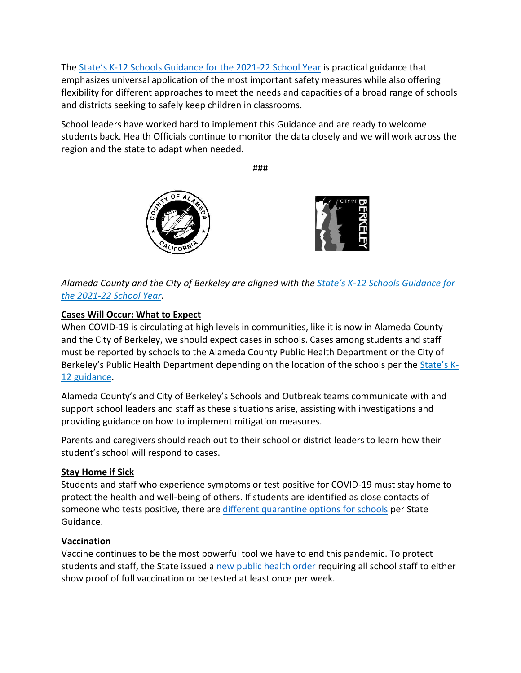The State's K[-12 Schools Guidance for the 2021-22 School Year](https://www.cdph.ca.gov/Programs/CID/DCDC/Pages/COVID-19/K-12-Guidance-2021-22-School-Year.aspx) is practical guidance that emphasizes universal application of the most important safety measures while also offering flexibility for different approaches to meet the needs and capacities of a broad range of schools and districts seeking to safely keep children in classrooms.

School leaders have worked hard to implement this Guidance and are ready to welcome students back. Health Officials continue to monitor the data closely and we will work across the region and the state to adapt when needed.

###





*Alameda County and the City of Berkeley are aligned with the State's K[-12 Schools Guidance for](https://www.cdph.ca.gov/Programs/CID/DCDC/Pages/COVID-19/K-12-Guidance-2021-22-School-Year.aspx)  [the 2021-22 School Year.](https://www.cdph.ca.gov/Programs/CID/DCDC/Pages/COVID-19/K-12-Guidance-2021-22-School-Year.aspx)*

# **Cases Will Occur: What to Expect**

When COVID-19 is circulating at high levels in communities, like it is now in Alameda County and the City of Berkeley, we should expect cases in schools. Cases among students and staff must be reported by schools to the Alameda County Public Health Department or the City of Berkeley's Public Health Department depending on the location of the schools per the [State's K](https://covid-19.acgov.org/reporting-requirements#school)-[12 guidance.](https://covid-19.acgov.org/reporting-requirements#school)

Alameda County's and City of Berkeley's Schools and Outbreak teams communicate with and support school leaders and staff as these situations arise, assisting with investigations and providing guidance on how to implement mitigation measures.

Parents and caregivers should reach out to their school or district leaders to learn how their student's school will respond to cases.

# **Stay Home if Sick**

Students and staff who experience symptoms or test positive for COVID-19 must stay home to protect the health and well-being of others. If students are identified as close contacts of someone who tests positive, there ar[e different quarantine options for schools](https://www.acoe.org/Page/2229) per State [Guidance.](https://www.cdph.ca.gov/Programs/CID/DCDC/Pages/COVID-19/K-12-Guidance-2021-22-School-Year.aspx)

### **Vaccination**

Vaccine continues to be the most powerful tool we have to end this pandemic. To protect students and staff, the State issued a [new public health order](https://www.cdph.ca.gov/Programs/CID/DCDC/Pages/COVID-19/Order-of-the-State-Public-Health-Officer-Vaccine-Verification-for-Workers-in-Schools.aspx) requiring all school staff to either show proof of full vaccination or be tested at least once per week.